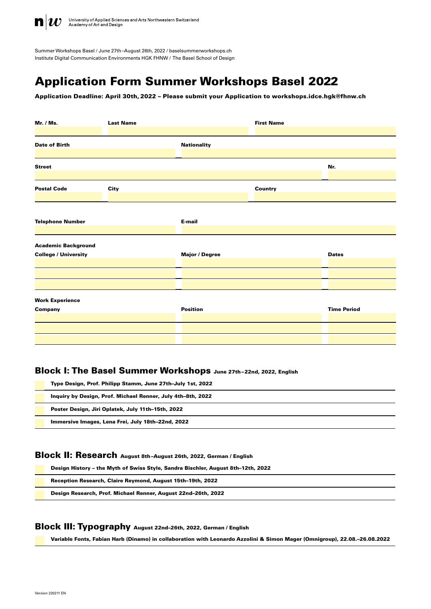

University of Applied Sciences and Arts Northwestern Switzerland<br>Academy of Art and Design

Summer Workshops Basel / June 27th–August 26th, 2022 / baselsummerworkshop[s.ch](http://baselwinterworkshops.ch) Institute Digital Communication Environments HGK FHNW / The Basel School of Design

# Application Form Summer Workshops Basel 2022

Application Deadline: April 30th, 2022 – Please submit your Application to workshops.idce.hgk@fhnw.ch

| Mr. / Ms.                                                 | <b>Last Name</b> |                       | <b>First Name</b> |                    |
|-----------------------------------------------------------|------------------|-----------------------|-------------------|--------------------|
| <b>Date of Birth</b>                                      |                  | <b>Nationality</b>    |                   |                    |
| <b>Street</b>                                             |                  |                       |                   | Nr.                |
| <b>Postal Code</b>                                        | City             |                       | <b>Country</b>    |                    |
| <b>Telephone Number</b>                                   |                  | E-mail                |                   |                    |
| <b>Academic Background</b><br><b>College / University</b> |                  | <b>Major / Degree</b> |                   | <b>Dates</b>       |
|                                                           |                  |                       |                   |                    |
| <b>Work Experience</b><br>Company                         |                  | <b>Position</b>       |                   | <b>Time Period</b> |
|                                                           |                  |                       |                   |                    |

### Block I: The Basel Summer Workshops June 27th–22nd, 2022, English

Type Design, Prof. Philipp Stamm, June 27th–July 1st, 2022

Inquiry by Design, Prof. Michael Renner, July 4th–8th, 2022

Poster Design, Jiri Oplatek, July 11th–15th, 2022

Immersive Images, Lena Frei, July 18th–22nd, 2022

### Block II: Research August 8th–August 26th, 2022, German / English

Design History – the Myth of Swiss Style, Sandra Bischler, August 8th–12th, 2022

Reception Research, Claire Reymond, August 15th–19th, 2022

Design Research, Prof. Michael Renner, August 22nd–26th, 2022

## Block III: Typography August 22nd–26th, 2022, German / English

Variable Fonts, Fabian Harb (Dinamo) in collaboration with Leonardo Azzolini & Simon Mager (Omnigroup), 22.08.–26.08.2022